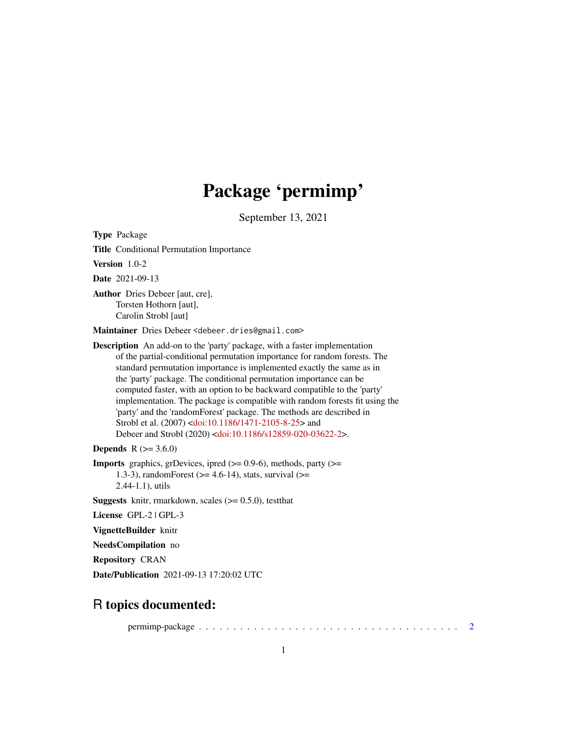# Package 'permimp'

September 13, 2021

<span id="page-0-0"></span>Type Package

Title Conditional Permutation Importance

Version 1.0-2

Date 2021-09-13

Author Dries Debeer [aut, cre], Torsten Hothorn [aut], Carolin Strobl [aut]

Maintainer Dries Debeer <debeer.dries@gmail.com>

Description An add-on to the 'party' package, with a faster implementation of the partial-conditional permutation importance for random forests. The standard permutation importance is implemented exactly the same as in the 'party' package. The conditional permutation importance can be computed faster, with an option to be backward compatible to the 'party' implementation. The package is compatible with random forests fit using the 'party' and the 'randomForest' package. The methods are described in Strobl et al. (2007) [<doi:10.1186/1471-2105-8-25>](https://doi.org/10.1186/1471-2105-8-25) and Debeer and Strobl (2020) [<doi:10.1186/s12859-020-03622-2>](https://doi.org/10.1186/s12859-020-03622-2).

**Depends**  $R (= 3.6.0)$ 

**Imports** graphics, grDevices, ipred  $(>= 0.9-6)$ , methods, party  $(>= 0.9-6)$ 1.3-3), randomForest  $(>= 4.6-14)$ , stats, survival  $(>=$ 2.44-1.1), utils

**Suggests** knitr, rmarkdown, scales  $(>= 0.5.0)$ , testthat

License GPL-2 | GPL-3

VignetteBuilder knitr

NeedsCompilation no

Repository CRAN

Date/Publication 2021-09-13 17:20:02 UTC

# R topics documented:

permimp-package . . . . . . . . . . . . . . . . . . . . . . . . . . . . . . . . . . . . . . [2](#page-1-0)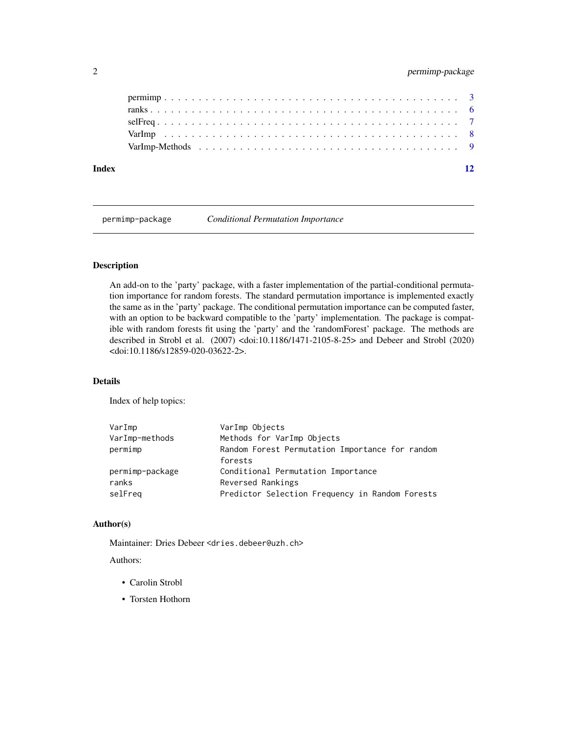<span id="page-1-0"></span>

| Index |  |  |  |  |  |  |  |  |  |  |  |  |  |  |
|-------|--|--|--|--|--|--|--|--|--|--|--|--|--|--|
|       |  |  |  |  |  |  |  |  |  |  |  |  |  |  |
|       |  |  |  |  |  |  |  |  |  |  |  |  |  |  |
|       |  |  |  |  |  |  |  |  |  |  |  |  |  |  |
|       |  |  |  |  |  |  |  |  |  |  |  |  |  |  |
|       |  |  |  |  |  |  |  |  |  |  |  |  |  |  |

permimp-package *Conditional Permutation Importance*

# Description

An add-on to the 'party' package, with a faster implementation of the partial-conditional permutation importance for random forests. The standard permutation importance is implemented exactly the same as in the 'party' package. The conditional permutation importance can be computed faster, with an option to be backward compatible to the 'party' implementation. The package is compatible with random forests fit using the 'party' and the 'randomForest' package. The methods are described in Strobl et al. (2007) <doi:10.1186/1471-2105-8-25> and Debeer and Strobl (2020) <doi:10.1186/s12859-020-03622-2>.

# Details

Index of help topics:

| VarImp          | VarImp Objects                                  |
|-----------------|-------------------------------------------------|
| VarImp-methods  | Methods for VarImp Objects                      |
| permimp         | Random Forest Permutation Importance for random |
|                 | forests                                         |
| permimp-package | Conditional Permutation Importance              |
| ranks           | Reversed Rankings                               |
| selFreq         | Predictor Selection Frequency in Random Forests |
|                 |                                                 |

# Author(s)

Maintainer: Dries Debeer <dries.debeer@uzh.ch>

# Authors:

- Carolin Strobl
- Torsten Hothorn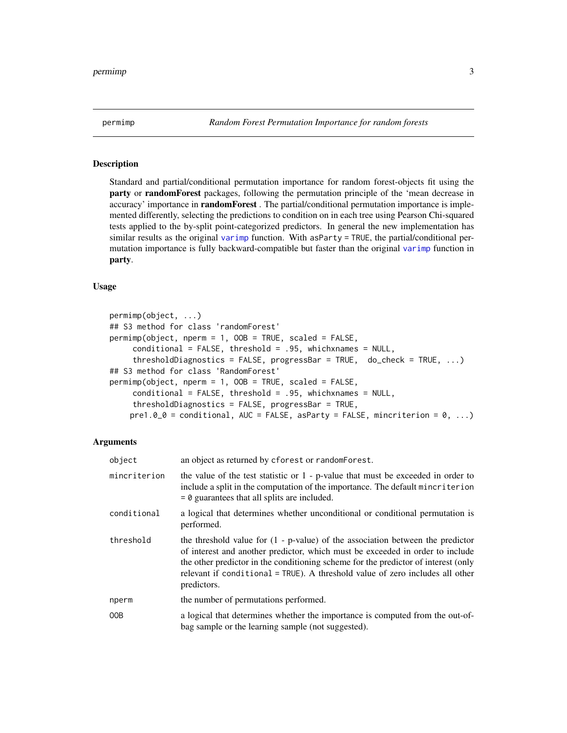<span id="page-2-0"></span>

#### Description

Standard and partial/conditional permutation importance for random forest-objects fit using the party or randomForest packages, following the permutation principle of the 'mean decrease in accuracy' importance in randomForest . The partial/conditional permutation importance is implemented differently, selecting the predictions to condition on in each tree using Pearson Chi-squared tests applied to the by-split point-categorized predictors. In general the new implementation has similar results as the original [varimp](#page-0-0) function. With asParty = TRUE, the partial/conditional permutation importance is fully backward-compatible but faster than the original [varimp](#page-0-0) function in party.

### Usage

```
permimp(object, ...)
## S3 method for class 'randomForest'
permimp(object, nperm = 1, OOB = TRUE, scaled = FALSE,
     conditional = FALSE, threshold = .95, which names = NULL,thresholdDiagnostics = FALSE, progressBar = TRUE, do_check = TRUE, ...)
## S3 method for class 'RandomForest'
permimp(object, nperm = 1, OOB = TRUE, scaled = FALSE,
     conditional = FALSE, threshold = .95, whichxnames = NULL,
     thresholdDiagnostics = FALSE, progressBar = TRUE,
    pre1.0_0 = conditional, AUC = FALSE, asParty = FALSE, mincriterion = 0, ...)
```
# **Arguments**

| object       | an object as returned by cforest or random Forest.                                                                                                                                                                                                                                                                                                      |
|--------------|---------------------------------------------------------------------------------------------------------------------------------------------------------------------------------------------------------------------------------------------------------------------------------------------------------------------------------------------------------|
| mincriterion | the value of the test statistic or 1 - p-value that must be exceeded in order to<br>include a split in the computation of the importance. The default minoriterion<br>$= 0$ guarantees that all splits are included.                                                                                                                                    |
| conditional  | a logical that determines whether unconditional or conditional permutation is<br>performed.                                                                                                                                                                                                                                                             |
| threshold    | the threshold value for $(1 - p-value)$ of the association between the predictor<br>of interest and another predictor, which must be exceeded in order to include<br>the other predictor in the conditioning scheme for the predictor of interest (only<br>relevant if conditional = TRUE). A threshold value of zero includes all other<br>predictors. |
| nperm        | the number of permutations performed.                                                                                                                                                                                                                                                                                                                   |
| 00B          | a logical that determines whether the importance is computed from the out-of-<br>bag sample or the learning sample (not suggested).                                                                                                                                                                                                                     |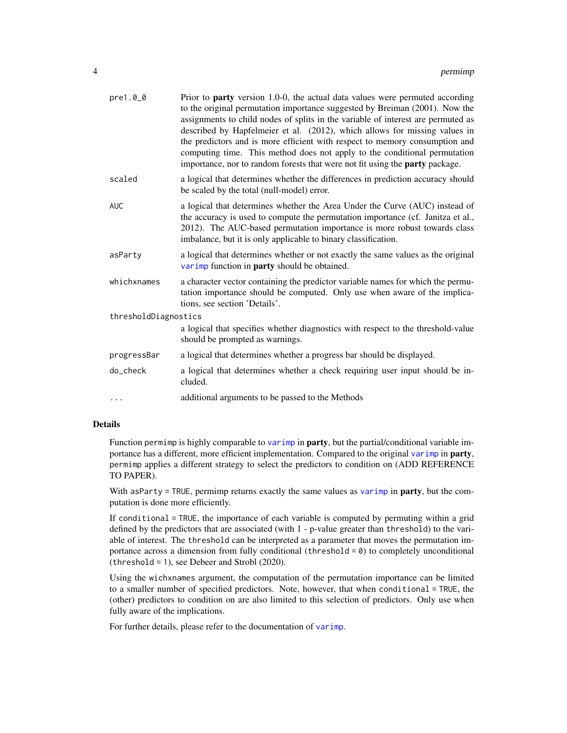| pre1.00              | Prior to <b>party</b> version 1.0-0, the actual data values were permuted according<br>to the original permutation importance suggested by Breiman (2001). Now the<br>assignments to child nodes of splits in the variable of interest are permuted as<br>described by Hapfelmeier et al. (2012), which allows for missing values in<br>the predictors and is more efficient with respect to memory consumption and<br>computing time. This method does not apply to the conditional permutation<br>importance, nor to random forests that were not fit using the <b>party</b> package. |
|----------------------|-----------------------------------------------------------------------------------------------------------------------------------------------------------------------------------------------------------------------------------------------------------------------------------------------------------------------------------------------------------------------------------------------------------------------------------------------------------------------------------------------------------------------------------------------------------------------------------------|
| scaled               | a logical that determines whether the differences in prediction accuracy should<br>be scaled by the total (null-model) error.                                                                                                                                                                                                                                                                                                                                                                                                                                                           |
| <b>AUC</b>           | a logical that determines whether the Area Under the Curve (AUC) instead of<br>the accuracy is used to compute the permutation importance (cf. Janitza et al.,<br>2012). The AUC-based permutation importance is more robust towards class<br>imbalance, but it is only applicable to binary classification.                                                                                                                                                                                                                                                                            |
| asParty              | a logical that determines whether or not exactly the same values as the original<br>varimp function in <b>party</b> should be obtained.                                                                                                                                                                                                                                                                                                                                                                                                                                                 |
| whichxnames          | a character vector containing the predictor variable names for which the permu-<br>tation importance should be computed. Only use when aware of the implica-<br>tions, see section 'Details'.                                                                                                                                                                                                                                                                                                                                                                                           |
| thresholdDiagnostics |                                                                                                                                                                                                                                                                                                                                                                                                                                                                                                                                                                                         |
|                      | a logical that specifies whether diagnostics with respect to the threshold-value<br>should be prompted as warnings.                                                                                                                                                                                                                                                                                                                                                                                                                                                                     |
| progressBar          | a logical that determines whether a progress bar should be displayed.                                                                                                                                                                                                                                                                                                                                                                                                                                                                                                                   |
| do_check             | a logical that determines whether a check requiring user input should be in-<br>cluded.                                                                                                                                                                                                                                                                                                                                                                                                                                                                                                 |
| .                    | additional arguments to be passed to the Methods                                                                                                                                                                                                                                                                                                                                                                                                                                                                                                                                        |
|                      |                                                                                                                                                                                                                                                                                                                                                                                                                                                                                                                                                                                         |

#### Details

Function permimp is highly comparable to [varimp](#page-0-0) in **party**, but the partial/conditional variable importance has a different, more efficient implementation. Compared to the original [varimp](#page-0-0) in party, permimp applies a different strategy to select the predictors to condition on (ADD REFERENCE TO PAPER).

With asParty = TRUE, permimp returns exactly the same values as [varimp](#page-0-0) in **party**, but the computation is done more efficiently.

If conditional = TRUE, the importance of each variable is computed by permuting within a grid defined by the predictors that are associated (with 1 - p-value greater than threshold) to the variable of interest. The threshold can be interpreted as a parameter that moves the permutation importance across a dimension from fully conditional (threshold  $= 0$ ) to completely unconditional (threshold = 1), see Debeer and Strobl (2020).

Using the wichxnames argument, the computation of the permutation importance can be limited to a smaller number of specified predictors. Note, however, that when conditional = TRUE, the (other) predictors to condition on are also limited to this selection of predictors. Only use when fully aware of the implications.

For further details, please refer to the documentation of [varimp](#page-0-0).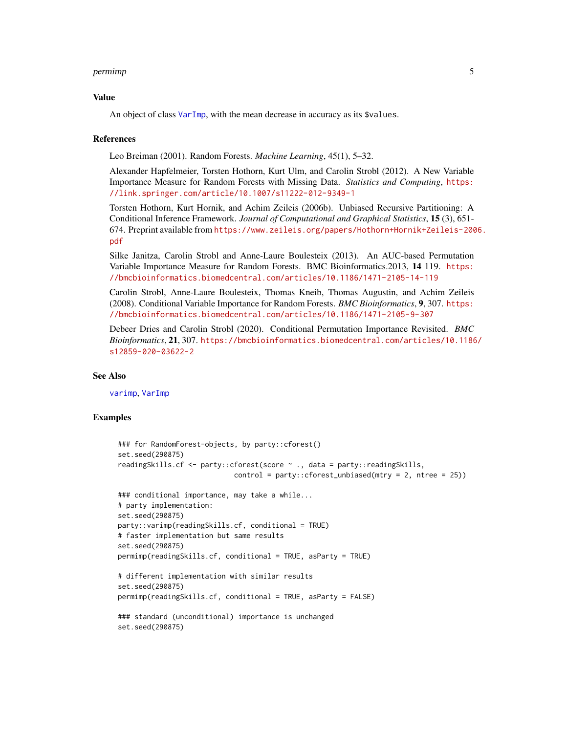#### <span id="page-4-0"></span>permimp 5

#### Value

An object of class [VarImp](#page-7-1), with the mean decrease in accuracy as its \$values.

#### References

Leo Breiman (2001). Random Forests. *Machine Learning*, 45(1), 5–32.

Alexander Hapfelmeier, Torsten Hothorn, Kurt Ulm, and Carolin Strobl (2012). A New Variable Importance Measure for Random Forests with Missing Data. *Statistics and Computing*, [https:](https://link.springer.com/article/10.1007/s11222-012-9349-1) [//link.springer.com/article/10.1007/s11222-012-9349-1](https://link.springer.com/article/10.1007/s11222-012-9349-1)

Torsten Hothorn, Kurt Hornik, and Achim Zeileis (2006b). Unbiased Recursive Partitioning: A Conditional Inference Framework. *Journal of Computational and Graphical Statistics*, 15 (3), 651- 674. Preprint available from [https://www.zeileis.org/papers/Hothorn+Hornik+Zeileis-200](https://www.zeileis.org/papers/Hothorn+Hornik+Zeileis-2006.pdf)6. [pdf](https://www.zeileis.org/papers/Hothorn+Hornik+Zeileis-2006.pdf)

Silke Janitza, Carolin Strobl and Anne-Laure Boulesteix (2013). An AUC-based Permutation Variable Importance Measure for Random Forests. BMC Bioinformatics.2013, 14 119. [https:](https://bmcbioinformatics.biomedcentral.com/articles/10.1186/1471-2105-14-119) [//bmcbioinformatics.biomedcentral.com/articles/10.1186/1471-2105-14-119](https://bmcbioinformatics.biomedcentral.com/articles/10.1186/1471-2105-14-119)

Carolin Strobl, Anne-Laure Boulesteix, Thomas Kneib, Thomas Augustin, and Achim Zeileis (2008). Conditional Variable Importance for Random Forests. *BMC Bioinformatics*, 9, 307. [https:](https://bmcbioinformatics.biomedcentral.com/articles/10.1186/1471-2105-9-307) [//bmcbioinformatics.biomedcentral.com/articles/10.1186/1471-2105-9-307](https://bmcbioinformatics.biomedcentral.com/articles/10.1186/1471-2105-9-307)

Debeer Dries and Carolin Strobl (2020). Conditional Permutation Importance Revisited. *BMC Bioinformatics*, 21, 307. [https://bmcbioinformatics.biomedcentral.com/articles/10.1186](https://bmcbioinformatics.biomedcentral.com/articles/10.1186/s12859-020-03622-2)/ [s12859-020-03622-2](https://bmcbioinformatics.biomedcentral.com/articles/10.1186/s12859-020-03622-2)

#### See Also

[varimp](#page-0-0), [VarImp](#page-7-1)

# Examples

```
### for RandomForest-objects, by party::cforest()
set.seed(290875)
readingSkills.cf <- party::cforest(score ~ ., data = party::readingSkills,
                            control = party::cforest_unbiased(mtry = 2, ntree = 25))
### conditional importance, may take a while...
# party implementation:
set.seed(290875)
party::varimp(readingSkills.cf, conditional = TRUE)
# faster implementation but same results
set.seed(290875)
permimp(readingSkills.cf, conditional = TRUE, asParty = TRUE)
# different implementation with similar results
set.seed(290875)
permimp(readingSkills.cf, conditional = TRUE, asParty = FALSE)
### standard (unconditional) importance is unchanged
set.seed(290875)
```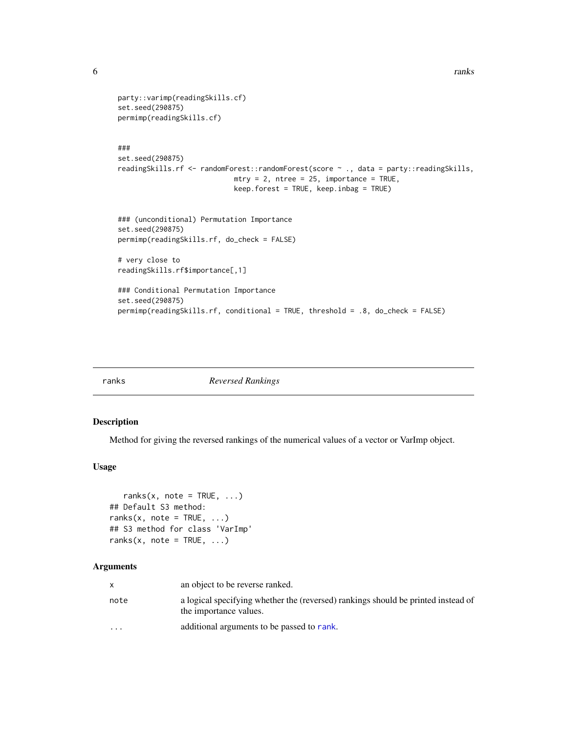```
party::varimp(readingSkills.cf)
set.seed(290875)
permimp(readingSkills.cf)
###
set.seed(290875)
readingSkills.rf <- randomForest::randomForest(score ~ ., data = party::readingSkills,
                            mtry = 2, ntree = 25, importance = TRUE,
                            keep.forest = TRUE, keep.inbag = TRUE)
### (unconditional) Permutation Importance
set.seed(290875)
permimp(readingSkills.rf, do_check = FALSE)
# very close to
readingSkills.rf$importance[,1]
### Conditional Permutation Importance
set.seed(290875)
permimp(readingSkills.rf, conditional = TRUE, threshold = .8, do_check = FALSE)
```
<span id="page-5-1"></span>

ranks *Reversed Rankings*

### Description

Method for giving the reversed rankings of the numerical values of a vector or VarImp object.

### Usage

```
ranks(x, note = TRUE, \dots)
## Default S3 method:
ranks(x, note = TRUE, ...)
## S3 method for class 'VarImp'
ranks(x, note = TRUE, \dots)
```
### Arguments

|                         | an object to be reverse ranked.                                                                             |
|-------------------------|-------------------------------------------------------------------------------------------------------------|
| note                    | a logical specifying whether the (reversed) rankings should be printed instead of<br>the importance values. |
| $\cdot$ $\cdot$ $\cdot$ | additional arguments to be passed to rank.                                                                  |

<span id="page-5-0"></span>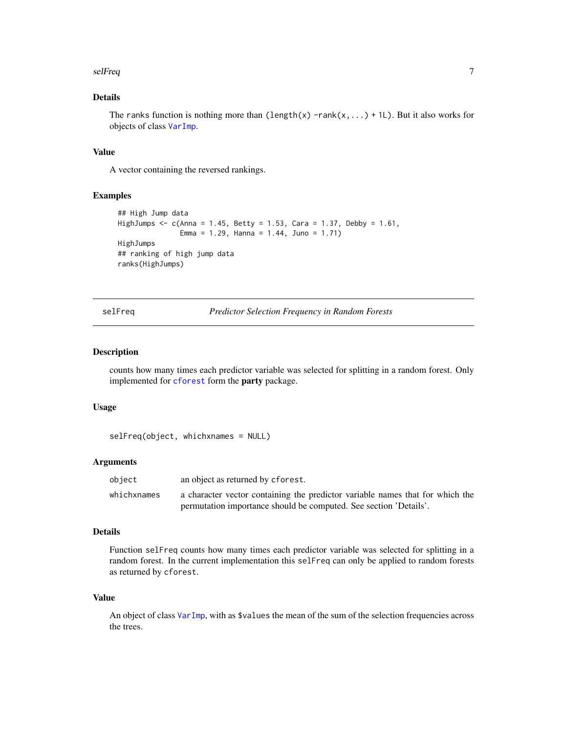#### <span id="page-6-0"></span>selFreq 7 and 2012 19:30 the self-requirement of the self-requirement of the self-requirement of the self-requirement of the self-requirement of the self-requirement of the self-requirement of the self-requirement of the s

# Details

The ranks function is nothing more than (length(x) -rank(x,...) + 1L). But it also works for objects of class [VarImp](#page-7-1).

# Value

A vector containing the reversed rankings.

#### Examples

```
## High Jump data
HighJumps <- c(Anna = 1.45, Betty = 1.53, Cara = 1.37, Debby = 1.61,
               Emma = 1.29, Hanna = 1.44, Juno = 1.71)
HighJumps
## ranking of high jump data
ranks(HighJumps)
```
selFreq *Predictor Selection Frequency in Random Forests*

# Description

counts how many times each predictor variable was selected for splitting in a random forest. Only implemented for [cforest](#page-0-0) form the party package.

### Usage

```
selFreq(object, whichxnames = NULL)
```
#### Arguments

| object      | an object as returned by cforest.                                             |
|-------------|-------------------------------------------------------------------------------|
| whichxnames | a character vector containing the predictor variable names that for which the |
|             | permutation importance should be computed. See section 'Details'.             |

#### Details

Function selFreq counts how many times each predictor variable was selected for splitting in a random forest. In the current implementation this selFreq can only be applied to random forests as returned by cforest.

#### Value

An object of class [VarImp](#page-7-1), with as \$values the mean of the sum of the selection frequencies across the trees.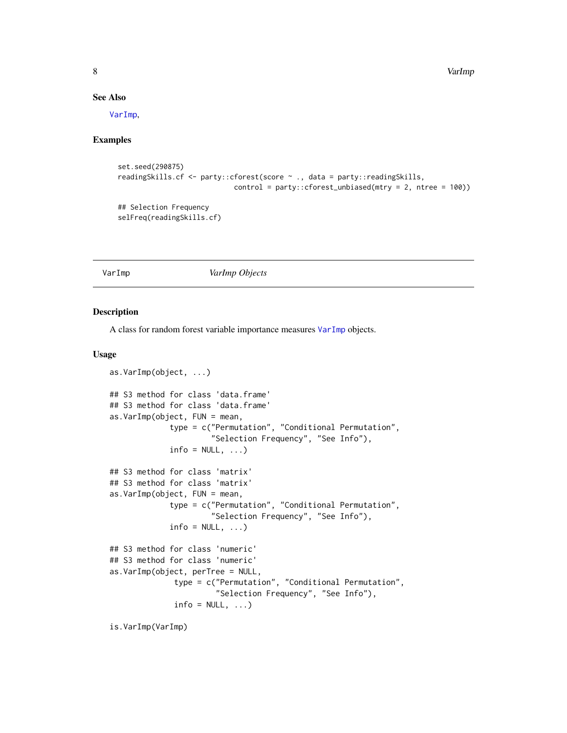8 States of the contract of the contract of the contract of the contract of the contract of the contract of the contract of the contract of the contract of the contract of the contract of the contract of the contract of th

# See Also

[VarImp](#page-7-1),

# Examples

```
set.seed(290875)
readingSkills.cf <- party::cforest(score ~ ., data = party::readingSkills,
                            control = party::cforest\_unbiased(mtry = 2, ntree = 100))## Selection Frequency
selFreq(readingSkills.cf)
```
<span id="page-7-1"></span>

# VarImp *VarImp Objects*

#### Description

A class for random forest variable importance measures [VarImp](#page-7-1) objects.

#### Usage

```
as.VarImp(object, ...)
## S3 method for class 'data.frame'
## S3 method for class 'data.frame'
as.VarImp(object, FUN = mean,
             type = c("Permutation", "Conditional Permutation",
                      "Selection Frequency", "See Info"),
             info = NULL, ...)## S3 method for class 'matrix'
## S3 method for class 'matrix'
as.VarImp(object, FUN = mean,
             type = c("Permutation", "Conditional Permutation",
                      "Selection Frequency", "See Info"),
             info = NULL, ...)## S3 method for class 'numeric'
## S3 method for class 'numeric'
as.VarImp(object, perTree = NULL,
              type = c("Permutation", "Conditional Permutation",
                       "Selection Frequency", "See Info"),
              info = NULL, ...)
```
is.VarImp(VarImp)

<span id="page-7-0"></span>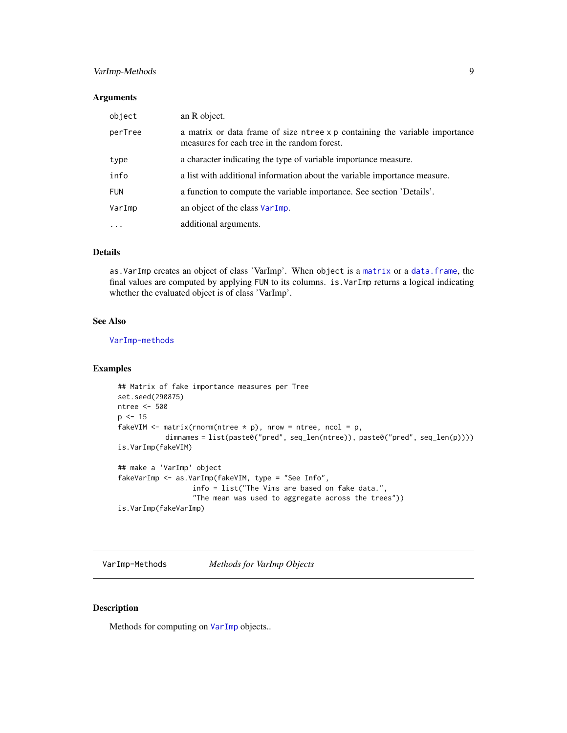# <span id="page-8-0"></span>VarImp-Methods 9

### Arguments

| object     | an R object.                                                                                                                |
|------------|-----------------------------------------------------------------------------------------------------------------------------|
| perTree    | a matrix or data frame of size ntree x p containing the variable importance<br>measures for each tree in the random forest. |
| type       | a character indicating the type of variable importance measure.                                                             |
| info       | a list with additional information about the variable importance measure.                                                   |
| <b>FUN</b> | a function to compute the variable importance. See section 'Details'.                                                       |
| VarImp     | an object of the class VarImp.                                                                                              |
| $\ddotsc$  | additional arguments.                                                                                                       |

# Details

as.VarImp creates an object of class 'VarImp'. When object is a [matrix](#page-0-0) or a [data.frame](#page-0-0), the final values are computed by applying FUN to its columns. is.VarImp returns a logical indicating whether the evaluated object is of class 'VarImp'.

# See Also

[VarImp-methods](#page-8-1)

# Examples

```
## Matrix of fake importance measures per Tree
set.seed(290875)
ntree <- 500
p \le -15fakeVIM \leq matrix(rnorm(ntree \star p), nrow = ntree, ncol = p,
           dimnames = list(paste0("pred", seq_len(ntree)), paste0("pred", seq_len(p))))
is.VarImp(fakeVIM)
## make a 'VarImp' object
fakeVarImp <- as.VarImp(fakeVIM, type = "See Info",
                  info = list("The Vims are based on fake data.",
                  "The mean was used to aggregate across the trees"))
```

```
is.VarImp(fakeVarImp)
```
VarImp-Methods *Methods for VarImp Objects*

#### <span id="page-8-1"></span>Description

Methods for computing on [VarImp](#page-7-1) objects..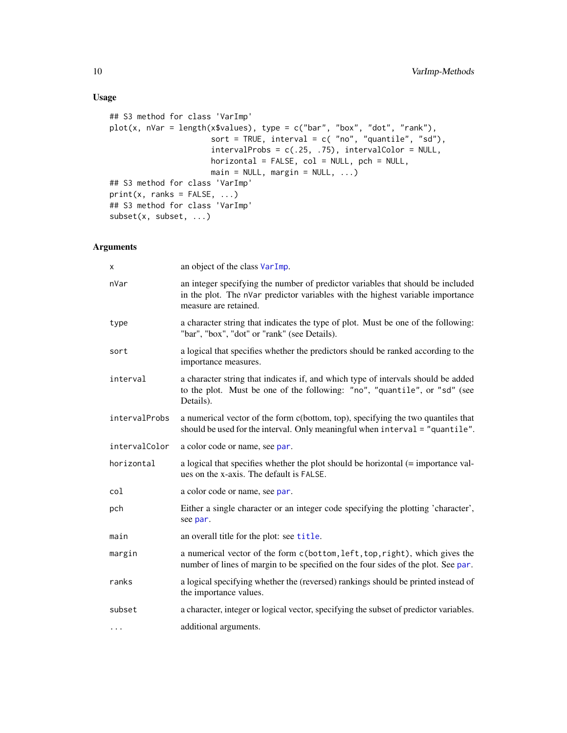# <span id="page-9-0"></span>Usage

```
## S3 method for class 'VarImp'
plot(x, nVar = length(x$values), type = c("bar", "box", "dot", "rank"),sort = TRUE, interval = c('no'', 'quantile'', 'sd''),
                      intervalProbs = c(.25, .75), intervalColor = NULL,horizontal = FALSE, col = NULL, pch = NULL,
                      main = NULL, margin = NULL, ...)## S3 method for class 'VarImp'
print(x, \text{ ranks} = FALSE, ...)## S3 method for class 'VarImp'
subset(x, subset, ...)
```
# Arguments

| X             | an object of the class VarImp.                                                                                                                                                             |
|---------------|--------------------------------------------------------------------------------------------------------------------------------------------------------------------------------------------|
| nVar          | an integer specifying the number of predictor variables that should be included<br>in the plot. The nVar predictor variables with the highest variable importance<br>measure are retained. |
| type          | a character string that indicates the type of plot. Must be one of the following:<br>"bar", "box", "dot" or "rank" (see Details).                                                          |
| sort          | a logical that specifies whether the predictors should be ranked according to the<br>importance measures.                                                                                  |
| interval      | a character string that indicates if, and which type of intervals should be added<br>to the plot. Must be one of the following: "no", "quantile", or "sd" (see<br>Details).                |
| intervalProbs | a numerical vector of the form c(bottom, top), specifying the two quantiles that<br>should be used for the interval. Only meaningful when interval = "quantile".                           |
| intervalColor | a color code or name, see par.                                                                                                                                                             |
| horizontal    | a logical that specifies whether the plot should be horizontal (= importance val-<br>ues on the x-axis. The default is FALSE.                                                              |
| col           | a color code or name, see par.                                                                                                                                                             |
| pch           | Either a single character or an integer code specifying the plotting 'character',<br>see par.                                                                                              |
| main          | an overall title for the plot: see title.                                                                                                                                                  |
| margin        | a numerical vector of the form c(bottom, left, top, right), which gives the<br>number of lines of margin to be specified on the four sides of the plot. See par.                           |
| ranks         | a logical specifying whether the (reversed) rankings should be printed instead of<br>the importance values.                                                                                |
| subset        | a character, integer or logical vector, specifying the subset of predictor variables.                                                                                                      |
| $\cdots$      | additional arguments.                                                                                                                                                                      |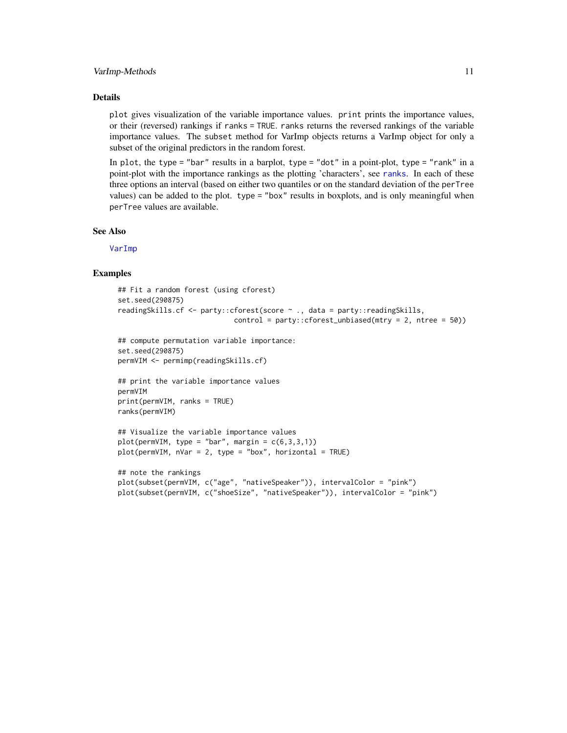#### <span id="page-10-0"></span>VarImp-Methods 11

### Details

plot gives visualization of the variable importance values. print prints the importance values, or their (reversed) rankings if ranks = TRUE. ranks returns the reversed rankings of the variable importance values. The subset method for VarImp objects returns a VarImp object for only a subset of the original predictors in the random forest.

In plot, the type = "bar" results in a barplot, type = "dot" in a point-plot, type = "rank" in a point-plot with the importance rankings as the plotting 'characters', see [ranks](#page-5-1). In each of these three options an interval (based on either two quantiles or on the standard deviation of the perTree values) can be added to the plot. type = "box" results in boxplots, and is only meaningful when perTree values are available.

#### See Also

[VarImp](#page-7-1)

#### Examples

```
## Fit a random forest (using cforest)
set.seed(290875)
readingSkills.cf <- party::cforest(score ~ ., data = party::readingSkills,
                            control = party::cforest_unbiased(mtry = 2, ntree = 50))
## compute permutation variable importance:
set.seed(290875)
permVIM <- permimp(readingSkills.cf)
## print the variable importance values
permVIM
print(permVIM, ranks = TRUE)
ranks(permVIM)
## Visualize the variable importance values
plot(permVIM, type = "bar", margin = c(6,3,3,1))plot(permVIM, nVar = 2, type = "box", horizontal = TRUE)
## note the rankings
plot(subset(permVIM, c("age", "nativeSpeaker")), intervalColor = "pink")
```
plot(subset(permVIM, c("shoeSize", "nativeSpeaker")), intervalColor = "pink")